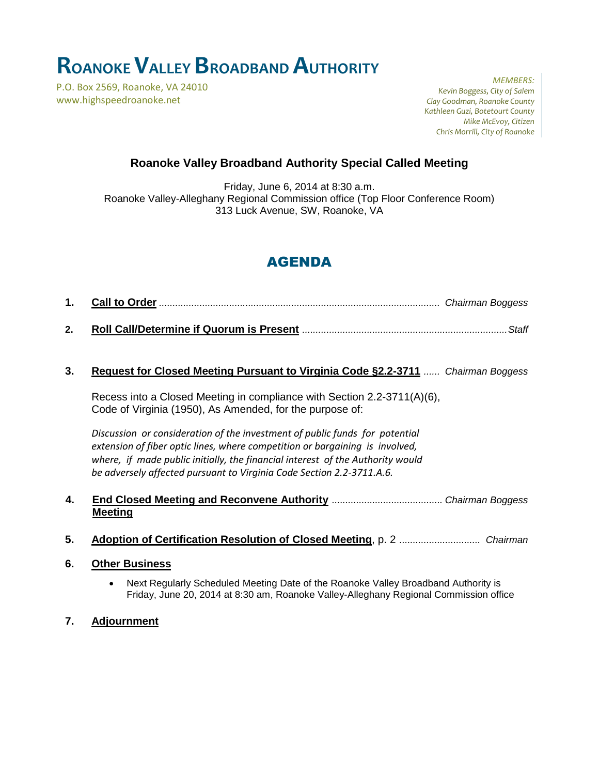# **ROANOKEVALLEY BROADBAND AUTHORITY**

P.O. Box 2569, Roanoke, VA 24010 www.highspeedroanoke.net

*MEMBERS: Kevin Boggess, City of Salem Clay Goodman, Roanoke County Kathleen Guzi, Botetourt County Mike McEvoy, Citizen Chris Morrill, City of Roanoke*

### **Roanoke Valley Broadband Authority Special Called Meeting**

Friday, June 6, 2014 at 8:30 a.m. Roanoke Valley-Alleghany Regional Commission office (Top Floor Conference Room) 313 Luck Avenue, SW, Roanoke, VA

# AGENDA

- **1. Call to Order** *........................................................................................................ Chairman Boggess*
- **2. Roll Call/Determine if Quorum is Present** *............................................................................Staff*

#### **3. Request for Closed Meeting Pursuant to Virginia Code §2.2-3711** *...... Chairman Boggess*

Recess into a Closed Meeting in compliance with Section 2.2-3711(A)(6), Code of Virginia (1950), As Amended, for the purpose of:

*Discussion or consideration of the investment of public funds for potential extension of fiber optic lines, where competition or bargaining is involved, where, if made public initially, the financial interest of the Authority would be adversely affected pursuant to Virginia Code Section 2.2-3711.A.6.*

**4. End Closed Meeting and Reconvene Authority** *......................................... Chairman Boggess* **Meeting**

- **5. Adoption of Certification Resolution of Closed Meeting**, p. 2 *.............................. Chairman*
- **6. Other Business**
	- Next Regularly Scheduled Meeting Date of the Roanoke Valley Broadband Authority is Friday, June 20, 2014 at 8:30 am, Roanoke Valley-Alleghany Regional Commission office
- **7. Adjournment**